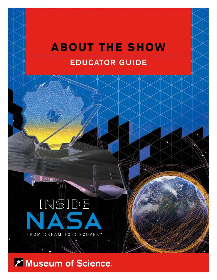# **ABOUT THE SHOW** EDUCATOR GUIDE



**7 Museum of Science.**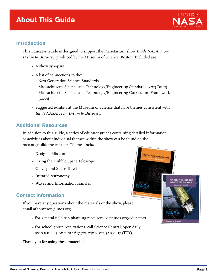### **About This Guide**



#### **Introduction**

This Educator Guide is designed to support the Planetarium show *Inside NASA: From Dream to Discovery*, produced by the Museum of Science, Boston. Included are:

- A show synopsis
- A list of connections to the:
	- Next Generation Science Standards
	- Massachusetts Science and Technology/Engineering Standards (2013 Draft)
	- Massachusetts Science and Technology/Engineering Curriculum Framework (2001)
- Suggested exhibits at the Museum of Science that have themes consistent with *Inside NASA: From Dream to Discovery*.

#### **Additional Resources**

In addition to this guide, a series of educator guides containing detailed information or activities about individual themes within the show can be found on the mos.org/fulldome website. Themes include:

- Design a Mission
- Fixing the Hubble Space Telescope
- Gravity and Space Travel
- Infrared Astronomy
- Waves and Information Transfer

#### **Contact Information**

If you have any questions about the materials or the show, please email athompson@mos.org.

- For general field trip planning resources, visit mos.org/educators.
- For school group reservations, call Science Central, open daily 9:00 a.m. – 5:00 p.m.: 617-723-2500, 617-589-0417 (TTY).

#### **Thank you for using these materials!**



GRAVITY AND SPACE TRAVE

FIXING THE HUBBLI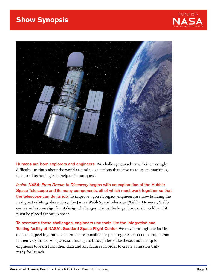



Humans are born explorers and engineers. We challenge ourselves with increasingly difficult questions about the world around us, questions that drive us to create machines, tools, and technologies to help us in our quest.

Inside NASA: From Dream to Discovery begins with an exploration of the Hubble Space Telescope and its many components, all of which must work together so that the telescope can do its job. To improve upon its legacy, engineers are now building the next great orbiting observatory: the James Webb Space Telescope (Webb). However, Webb comes with some significant design challenges: it must be huge, it must stay cold, and it must be placed far out in space.

To overcome these challenges, engineers use tools like the Integration and Testing facility at NASA's Goddard Space Flight Center. We travel through the facility on screen, peeking into the chambers responsible for pushing the spacecraft components to their very limits. All spacecraft must pass through tests like these, and it is up to engineers to learn from their data and any failures in order to create a mission truly ready for launch.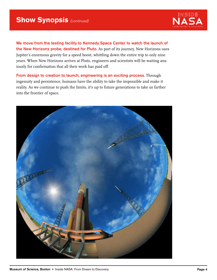

We move from the testing facility to Kennedy Space Center to watch the launch of the New Horizons probe, destined for Pluto. As part of its journey, New Horizons uses Jupiter's enormous gravity for a speed boost, whittling down the entire trip to only nine years. When New Horizons arrives at Pluto, engineers and scientists will be waiting anxiously for confirmation that all their work has paid off.

From design to creation to launch, engineering is an exciting process. Through ingenuity and persistence, humans have the ability to take the impossible and make it reality. As we continue to push the limits, it's up to future generations to take us farther into the frontier of space.

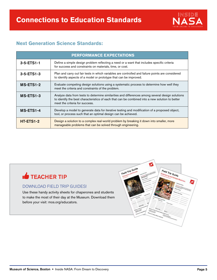

#### **Next Generation Science Standards:**

| <b>PERFORMANCE EXPECTATIONS</b> |                                                                                                                                                                                                                                       |  |  |
|---------------------------------|---------------------------------------------------------------------------------------------------------------------------------------------------------------------------------------------------------------------------------------|--|--|
| $3 - 5 - ETS1 - 1$              | Define a simple design problem reflecting a need or a want that includes specific criteria<br>for success and constraints on materials, time, or cost.                                                                                |  |  |
| $3 - 5 - ETS1 - 3$              | Plan and carry out fair tests in which variables are controlled and failure points are considered<br>to identify aspects of a model or prototype that can be improved.                                                                |  |  |
| MS-ETS1-2                       | Evaluate competing design solutions using a systematic process to determine how well they<br>meet the criteria and constraints of the problem.                                                                                        |  |  |
| MS-ETS1-3                       | Analyze data from tests to determine similarities and differences among several design solutions<br>to identify the best characteristics of each that can be combined into a new solution to better<br>meet the criteria for success. |  |  |
| MS-ETS1-4                       | Develop a model to generate data for iterative testing and modification of a proposed object,<br>tool, or process such that an optimal design can be achieved.                                                                        |  |  |
| HT-ETS1-2                       | Design a solution to a complex real-world problem by breaking it down into smaller, more<br>manageable problems that can be solved through engineering.                                                                               |  |  |

## **TEACHER TIP**

#### DOWNLOAD FIELD TRIP GUIDES!

Use these handy activity sheets for chaperones and students to make the most of their day at the Museum. Download them before your visit: mos.org/educators.

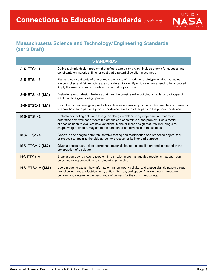

#### **Massachusetts Science and Technology/Engineering Standards (2013 Draft)**

| <b>STANDARDS</b>      |                                                                                                                                                                                                                                                                                                                                                                    |  |  |
|-----------------------|--------------------------------------------------------------------------------------------------------------------------------------------------------------------------------------------------------------------------------------------------------------------------------------------------------------------------------------------------------------------|--|--|
| 3-5-ETS1-1            | Define a simple design problem that reflects a need or a want. Include criteria for success and<br>constraints on materials, time, or cost that a potential solution must meet.                                                                                                                                                                                    |  |  |
| $3-5$ -ETS1-3         | Plan and carry out tests of one or more elements of a model or prototype in which variables<br>are controlled and failure points are considered to identify which elements need to be improved.<br>Apply the results of tests to redesign a model or prototype.                                                                                                    |  |  |
| 3-5-ETS1-5 (MA)       | Evaluate relevant design features that must be considered in building a model or prototype of<br>a solution to a given design problem.                                                                                                                                                                                                                             |  |  |
| 3-5-ETS2-2 (MA)       | Describe that technological products or devices are made up of parts. Use sketches or drawings<br>to show how each part of a product or device relates to other parts in the product or device.                                                                                                                                                                    |  |  |
| MS-ETS1-2             | Evaluate competing solutions to a given design problem using a systematic process to<br>determine how well each meets the criteria and constraints of the problem. Use a model<br>of each solution to evaluate how variations in one or more design features, including size,<br>shape, weight, or cost, may affect the function or effectiveness of the solution. |  |  |
| MS-ETS1-4             | Generate and analyze data from iterative testing and modification of a proposed object, tool,<br>or process to optimize the object, tool, or process for its intended purpose.                                                                                                                                                                                     |  |  |
| MS-ETS2-2 (MA)        | Given a design task, select appropriate materials based on specific properties needed in the<br>construction of a solution.                                                                                                                                                                                                                                        |  |  |
| <b>HS-ETS1-2</b>      | Break a complex real-world problem into smaller, more manageable problems that each can<br>be solved using scientific and engineering principles.                                                                                                                                                                                                                  |  |  |
| <b>HS-ETS3-2 (MA)</b> | Use a model to explain how information transmitted via digital and analog signals travels through<br>the following media: electrical wire, optical fiber, air, and space. Analyze a communication<br>problem and determine the best mode of delivery for the communication(s).                                                                                     |  |  |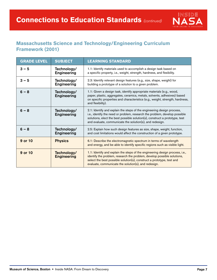

#### **Massachusetts Science and Technology/Engineering Curriculum Framework (2001)**

| <b>GRADE LEVEL</b> | <b>SUBJECT</b>                    | <b>LEARNING STANDARD</b>                                                                                                                                                                                                                                                                        |
|--------------------|-----------------------------------|-------------------------------------------------------------------------------------------------------------------------------------------------------------------------------------------------------------------------------------------------------------------------------------------------|
| $3 - 5$            | Technology/<br><b>Engineering</b> | 1.1: Identify materials used to accomplish a design task based on<br>a specific property, i.e., weight, strength, hardness, and flexibility.                                                                                                                                                    |
| $3 - 5$            | Technology/<br><b>Engineering</b> | 2.3: Identify relevant design features (e.g., size, shape, weight) for<br>building a prototype of a solution to a given problem.                                                                                                                                                                |
| $6 - 8$            | Technology/<br><b>Engineering</b> | 1.1: Given a design task, identify appropriate materials (e.g., wood,<br>paper, plastic, aggregates, ceramics, metals, solvents, adhesives) based<br>on specific properties and characteristics (e.g., weight, strength, hardness,<br>and flexibility).                                         |
| $6 - 8$            | Technology/<br><b>Engineering</b> | 2.1: Identify and explain the steps of the engineering design process,<br>i.e., identify the need or problem, research the problem, develop possible<br>solutions, elect the best possible solution(s), construct a prototype, test<br>and evaluate, communicate the solution(s), and redesign. |
| $6 - 8$            | Technology/<br><b>Engineering</b> | 2.5: Explain how such design features as size, shape, weight, function,<br>and cost limitations would affect the construction of a given prototype.                                                                                                                                             |
| 9 or 10            | <b>Physics</b>                    | 6.1: Describe the electromagnetic spectrum in terms of wavelength<br>and energy, and be able to identify specific regions such as visible light.                                                                                                                                                |
| 9 or 10            | Technology/<br><b>Engineering</b> | 1.1: Identify and explain the steps of the engineering design process, i.e.,<br>identify the problem, research the problem, develop possible solutions,<br>select the best possible solution(s), construct a prototype, test and<br>evaluate, communicate the solution(s), and redesign.        |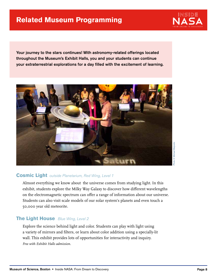

Your journey to the stars continues! With astronomy-related offerings located throughout the Museum's Exhibit Halls, you and your students can continue your extraterrestrial explorations for a day filled with the excitement of learning.



#### **Cosmic Light** outside Planetarium, Red Wing, Level 1

Almost everything we know about the universe comes from studying light. In this exhibit, students explore the Milky Way Galaxy to discover how different wavelengths on the electromagnetic spectrum can offer a range of information about our universe. Students can also visit scale models of our solar system's planets and even touch a 50,000 year old meteorite.

#### **The Light House** Blue Wing, Level 2

Explore the science behind light and color. Students can play with light using a variety of mirrors and filters, or learn about color addition using a specially-lit wall. This exhibit provides lots of opportunities for interactivity and inquiry. *Free with Exhibit Halls admission.*